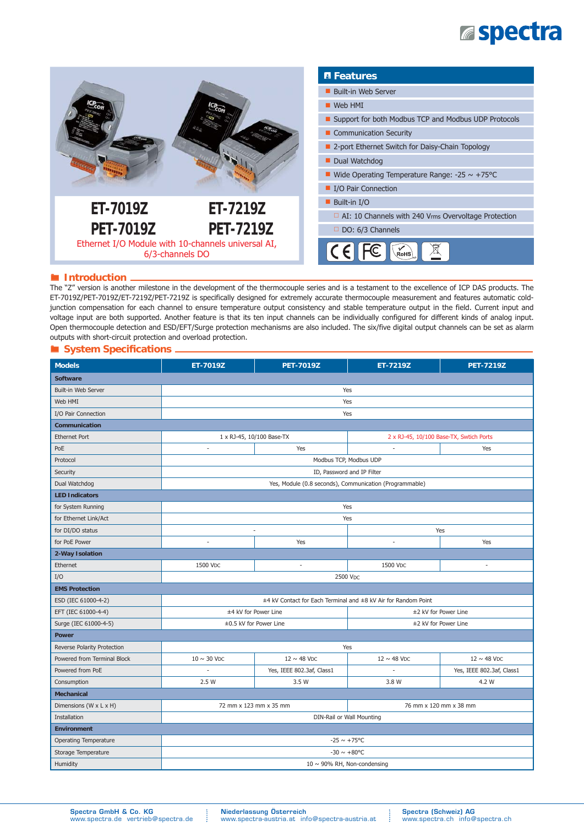## **Espectra**



#### ® **Introduction**

The "Z" version is another milestone in the development of the thermocouple series and is a testament to the excellence of ICP DAS products. The ET-7019Z/PET-7019Z/ET-7219Z/PET-7219Z is specifically designed for extremely accurate thermocouple measurement and features automatic coldjunction compensation for each channel to ensure temperature output consistency and stable temperature output in the field. Current input and voltage input are both supported. Another feature is that its ten input channels can be individually configured for different kinds of analog input. Open thermocouple detection and ESD/EFT/Surge protection mechanisms are also included. The six/five digital output channels can be set as alarm outputs with short-circuit protection and overload protection.

#### ® **System Specifi cations**

| <b>Models</b>                | ET-7019Z                                                       | <b>PET-7019Z</b>             | ET-7219Z                                | <b>PET-7219Z</b>             |  |
|------------------------------|----------------------------------------------------------------|------------------------------|-----------------------------------------|------------------------------|--|
| <b>Software</b>              |                                                                |                              |                                         |                              |  |
| Built-in Web Server          | Yes                                                            |                              |                                         |                              |  |
| Web HMI                      | Yes                                                            |                              |                                         |                              |  |
| I/O Pair Connection          | Yes                                                            |                              |                                         |                              |  |
| Communication                |                                                                |                              |                                         |                              |  |
| <b>Ethernet Port</b>         | 1 x RJ-45, 10/100 Base-TX                                      |                              | 2 x RJ-45, 10/100 Base-TX, Swtich Ports |                              |  |
| PoE                          | $\overline{\phantom{a}}$                                       | Yes                          | $\sim$                                  | Yes                          |  |
| Protocol                     | Modbus TCP, Modbus UDP                                         |                              |                                         |                              |  |
| Security                     | ID, Password and IP Filter                                     |                              |                                         |                              |  |
| Dual Watchdog                | Yes, Module (0.8 seconds), Communication (Programmable)        |                              |                                         |                              |  |
| <b>LED Indicators</b>        |                                                                |                              |                                         |                              |  |
| for System Running           | Yes                                                            |                              |                                         |                              |  |
| for Ethernet Link/Act        | Yes                                                            |                              |                                         |                              |  |
| for DI/DO status             | Yes<br>÷                                                       |                              |                                         |                              |  |
| for PoE Power                | $\sim$                                                         | Yes                          | $\overline{\phantom{a}}$                | Yes                          |  |
| 2-Way Isolation              |                                                                |                              |                                         |                              |  |
| Ethernet                     | 1500 V <sub>DC</sub>                                           | $\sim$                       | 1500 V <sub>DC</sub>                    | $\overline{\phantom{a}}$     |  |
| I/O                          | 2500 VDC                                                       |                              |                                         |                              |  |
| <b>EMS Protection</b>        |                                                                |                              |                                         |                              |  |
| ESD (IEC 61000-4-2)          | ±4 kV Contact for Each Terminal and ±8 kV Air for Random Point |                              |                                         |                              |  |
| EFT (IEC 61000-4-4)          | ±4 kV for Power Line                                           |                              | ±2 kV for Power Line                    |                              |  |
| Surge (IEC 61000-4-5)        | ±0.5 kV for Power Line                                         |                              | ±2 kV for Power Line                    |                              |  |
| <b>Power</b>                 |                                                                |                              |                                         |                              |  |
| Reverse Polarity Protection  | Yes                                                            |                              |                                         |                              |  |
| Powered from Terminal Block  | $10 \sim 30$ V <sub>DC</sub>                                   | $12 \sim 48$ V <sub>DC</sub> | $12 \sim 48$ V <sub>DC</sub>            | $12 \sim 48$ V <sub>DC</sub> |  |
| Powered from PoE             |                                                                | Yes, IEEE 802.3af, Class1    | ÷,                                      | Yes, IEEE 802.3af, Class1    |  |
| Consumption                  | 2.5 W                                                          | 3.5 W                        | 3.8 W                                   | 4.2 W                        |  |
| <b>Mechanical</b>            |                                                                |                              |                                         |                              |  |
| Dimensions (W x L x H)       | 72 mm x 123 mm x 35 mm                                         |                              | 76 mm x 120 mm x 38 mm                  |                              |  |
| Installation                 | DIN-Rail or Wall Mounting                                      |                              |                                         |                              |  |
| <b>Environment</b>           |                                                                |                              |                                         |                              |  |
| <b>Operating Temperature</b> | $-25 \sim +75^{\circ}$ C                                       |                              |                                         |                              |  |
| Storage Temperature          | $-30 \sim +80$ °C                                              |                              |                                         |                              |  |
| Humidity                     | 10 $\sim$ 90% RH, Non-condensing                               |                              |                                         |                              |  |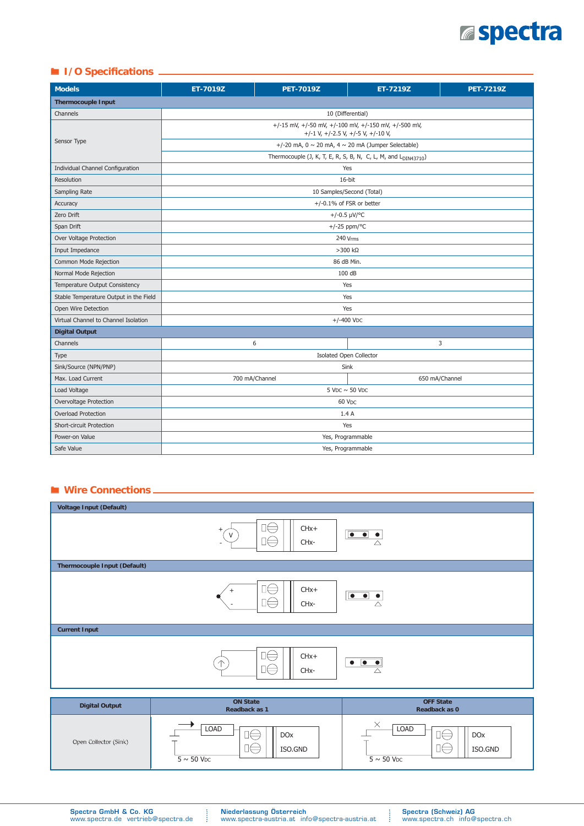# **aspectra**

## ■ **I/O** Specifications —

| <b>Models</b>                          | ET-7019Z                                                                                   | <b>PET-7019Z</b>               | ET-7219Z       | <b>PET-7219Z</b> |  |
|----------------------------------------|--------------------------------------------------------------------------------------------|--------------------------------|----------------|------------------|--|
| <b>Thermocouple Input</b>              |                                                                                            |                                |                |                  |  |
| Channels                               |                                                                                            | 10 (Differential)              |                |                  |  |
| Sensor Type                            | +/-15 mV, +/-50 mV, +/-100 mV, +/-150 mV, +/-500 mV,<br>+/-1 V, +/-2.5 V, +/-5 V, +/-10 V, |                                |                |                  |  |
|                                        | +/-20 mA, $0 \sim 20$ mA, $4 \sim 20$ mA (Jumper Selectable)                               |                                |                |                  |  |
|                                        | Thermocouple (J, K, T, E, R, S, B, N, C, L, M, and L <sub>DIN43710</sub> )                 |                                |                |                  |  |
| Individual Channel Configuration       | Yes                                                                                        |                                |                |                  |  |
| Resolution                             | 16-bit                                                                                     |                                |                |                  |  |
| Sampling Rate                          | 10 Samples/Second (Total)                                                                  |                                |                |                  |  |
| Accuracy                               | $+/-0.1\%$ of FSR or better                                                                |                                |                |                  |  |
| Zero Drift                             | +/-0.5 $\mu$ V/°C                                                                          |                                |                |                  |  |
| Span Drift                             | +/-25 ppm/ $\degree$ C                                                                     |                                |                |                  |  |
| Over Voltage Protection                | 240 Vrms                                                                                   |                                |                |                  |  |
| Input Impedance                        | $>300$ kΩ                                                                                  |                                |                |                  |  |
| Common Mode Rejection                  | 86 dB Min.                                                                                 |                                |                |                  |  |
| Normal Mode Rejection                  | 100 dB                                                                                     |                                |                |                  |  |
| Temperature Output Consistency         | Yes                                                                                        |                                |                |                  |  |
| Stable Temperature Output in the Field | Yes                                                                                        |                                |                |                  |  |
| Open Wire Detection                    | Yes                                                                                        |                                |                |                  |  |
| Virtual Channel to Channel Isolation   | $+/-400$ VDC                                                                               |                                |                |                  |  |
| <b>Digital Output</b>                  |                                                                                            |                                |                |                  |  |
| Channels                               |                                                                                            | 6                              |                | 3                |  |
| Type                                   |                                                                                            | <b>Isolated Open Collector</b> |                |                  |  |
| Sink/Source (NPN/PNP)                  | Sink                                                                                       |                                |                |                  |  |
| Max. Load Current                      | 700 mA/Channel                                                                             |                                | 650 mA/Channel |                  |  |
| Load Voltage                           | $5$ V <sub>DC</sub> $\sim$ 50 V <sub>DC</sub>                                              |                                |                |                  |  |
| Overvoltage Protection                 | 60 VDC                                                                                     |                                |                |                  |  |
| Overload Protection                    | 1.4A                                                                                       |                                |                |                  |  |
| <b>Short-circuit Protection</b>        | Yes                                                                                        |                                |                |                  |  |
| Power-on Value                         | Yes, Programmable                                                                          |                                |                |                  |  |
| Safe Value                             | Yes, Programmable                                                                          |                                |                |                  |  |

### ® **Wire Connections**

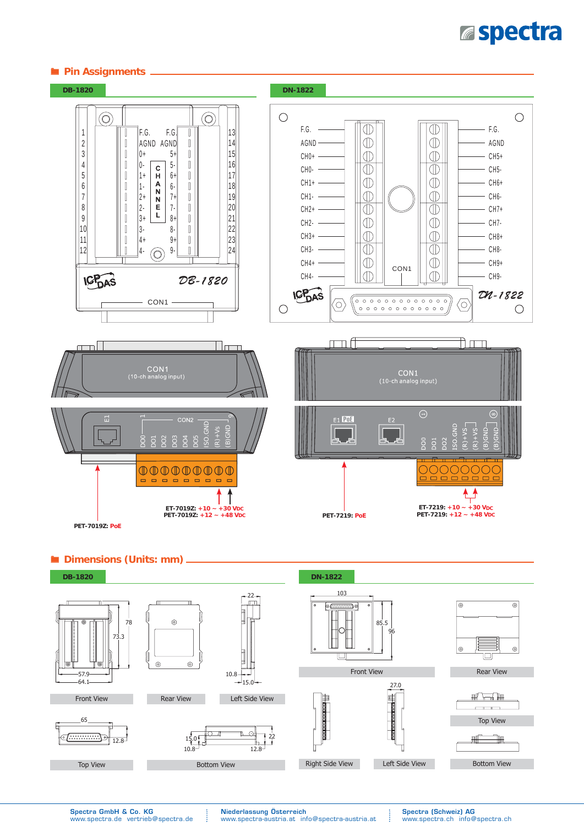# **Espectra**





® **Dimensions (Units: mm)**



Spectra GmbH & Co. KG www.spectra.de vertrieb@spectra.de Niederlassung Österreich www.spectra-austria.at info@spectra-austria.at Spectra (Schweiz) AG www.spectra.ch info@spectra.ch